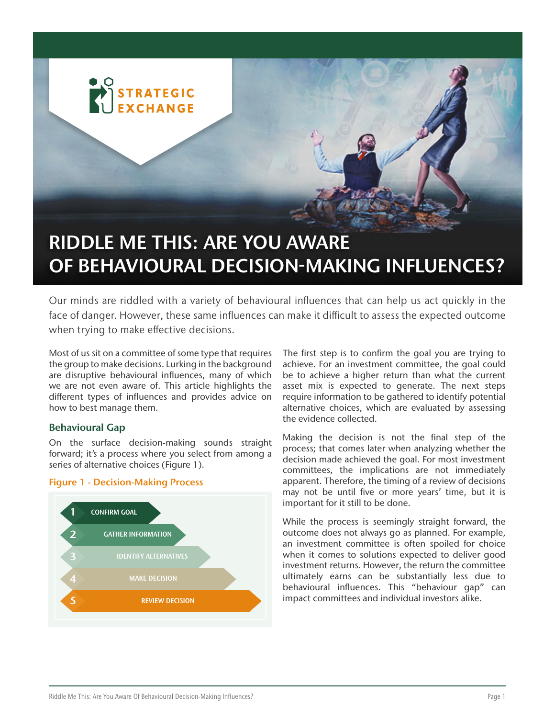

# RIDDLE ME THIS: ARE YOU AWARE OF BEHAVIOURAL DECISION-MAKING INFLUENCES?

Our minds are riddled with a variety of behavioural influences that can help us act quickly in the face of danger. However, these same influences can make it difficult to assess the expected outcome when trying to make effective decisions.

Most of us sit on a committee of some type that requires the group to make decisions. Lurking in the background are disruptive behavioural influences, many of which we are not even aware of. This article highlights the different types of influences and provides advice on how to best manage them.

# Behavioural Gap

On the surface decision-making sounds straight forward; it's a process where you select from among a series of alternative choices (Figure 1).

#### Figure 1 - Decision-Making Process



The first step is to confirm the goal you are trying to achieve. For an investment committee, the goal could be to achieve a higher return than what the current asset mix is expected to generate. The next steps require information to be gathered to identify potential alternative choices, which are evaluated by assessing the evidence collected.

Making the decision is not the final step of the process; that comes later when analyzing whether the decision made achieved the goal. For most investment committees, the implications are not immediately apparent. Therefore, the timing of a review of decisions may not be until five or more years' time, but it is important for it still to be done.

While the process is seemingly straight forward, the outcome does not always go as planned. For example, an investment committee is often spoiled for choice when it comes to solutions expected to deliver good investment returns. However, the return the committee ultimately earns can be substantially less due to behavioural influences. This "behaviour gap" can impact committees and individual investors alike.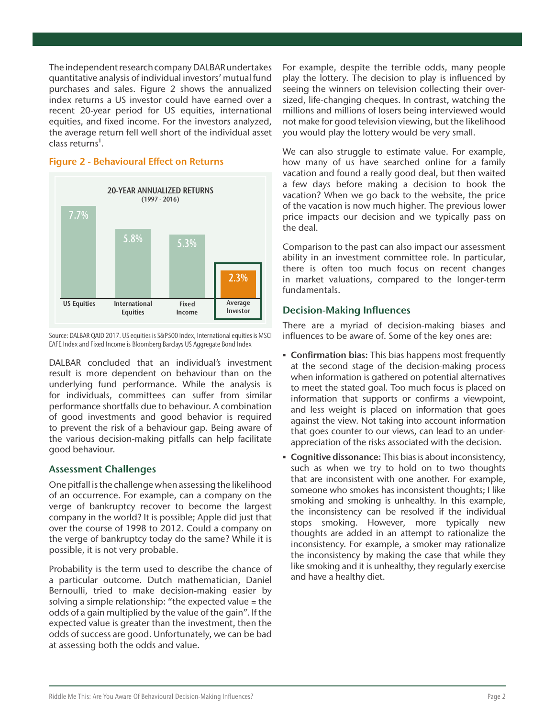The independent research company DALBAR undertakes quantitative analysis of individual investors' mutual fund purchases and sales. Figure 2 shows the annualized index returns a US investor could have earned over a recent 20-year period for US equities, international equities, and fixed income. For the investors analyzed, the average return fell well short of the individual asset class returns<sup>1</sup>.



#### Figure 2 - Behavioural Effect on Returns

Source: DALBAR QAID 2017. US equities is S&P500 Index, International equities is MSCI EAFE Index and Fixed Income is Bloomberg Barclays US Aggregate Bond Index

DALBAR concluded that an individual's investment result is more dependent on behaviour than on the underlying fund performance. While the analysis is for individuals, committees can suffer from similar performance shortfalls due to behaviour. A combination of good investments and good behavior is required to prevent the risk of a behaviour gap. Being aware of the various decision-making pitfalls can help facilitate good behaviour.

# Assessment Challenges

One pitfall is the challenge when assessing the likelihood of an occurrence. For example, can a company on the verge of bankruptcy recover to become the largest company in the world? It is possible; Apple did just that over the course of 1998 to 2012. Could a company on the verge of bankruptcy today do the same? While it is possible, it is not very probable.

Probability is the term used to describe the chance of a particular outcome. Dutch mathematician, Daniel Bernoulli, tried to make decision-making easier by solving a simple relationship: "the expected value = the odds of a gain multiplied by the value of the gain". If the expected value is greater than the investment, then the odds of success are good. Unfortunately, we can be bad at assessing both the odds and value.

For example, despite the terrible odds, many people play the lottery. The decision to play is influenced by seeing the winners on television collecting their oversized, life-changing cheques. In contrast, watching the millions and millions of losers being interviewed would not make for good television viewing, but the likelihood you would play the lottery would be very small.

We can also struggle to estimate value. For example, how many of us have searched online for a family vacation and found a really good deal, but then waited a few days before making a decision to book the vacation? When we go back to the website, the price of the vacation is now much higher. The previous lower price impacts our decision and we typically pass on the deal.

Comparison to the past can also impact our assessment ability in an investment committee role. In particular, there is often too much focus on recent changes in market valuations, compared to the longer-term fundamentals.

# Decision-Making Influences

There are a myriad of decision-making biases and influences to be aware of. Some of the key ones are:

- **EXEDENT Confirmation bias:** This bias happens most frequently at the second stage of the decision-making process when information is gathered on potential alternatives to meet the stated goal. Too much focus is placed on information that supports or confirms a viewpoint, and less weight is placed on information that goes against the view. Not taking into account information that goes counter to our views, can lead to an underappreciation of the risks associated with the decision.
- **Cognitive dissonance:** This bias is about inconsistency, such as when we try to hold on to two thoughts that are inconsistent with one another. For example, someone who smokes has inconsistent thoughts; I like smoking and smoking is unhealthy. In this example, the inconsistency can be resolved if the individual stops smoking. However, more typically new thoughts are added in an attempt to rationalize the inconsistency. For example, a smoker may rationalize the inconsistency by making the case that while they like smoking and it is unhealthy, they regularly exercise and have a healthy diet.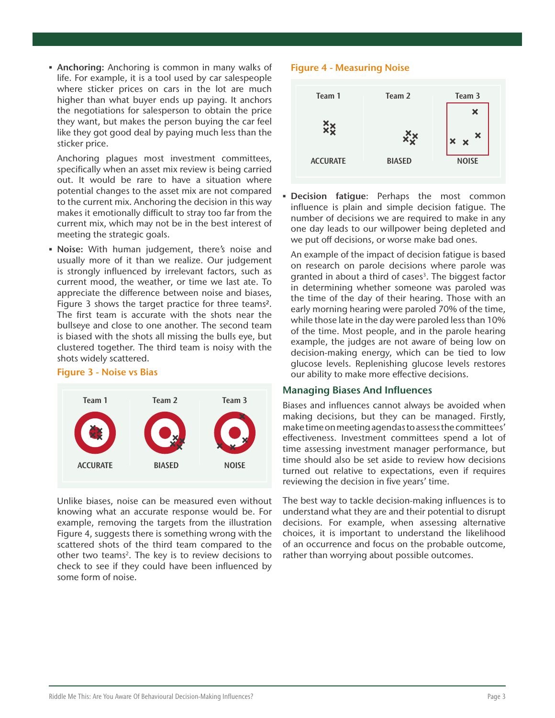**• Anchoring:** Anchoring is common in many walks of life. For example, it is a tool used by car salespeople where sticker prices on cars in the lot are much higher than what buyer ends up paying. It anchors the negotiations for salesperson to obtain the price they want, but makes the person buying the car feel like they got good deal by paying much less than the sticker price.

Anchoring plagues most investment committees, specifically when an asset mix review is being carried out. It would be rare to have a situation where potential changes to the asset mix are not compared to the current mix. Anchoring the decision in this way makes it emotionally difficult to stray too far from the current mix, which may not be in the best interest of meeting the strategic goals.

▪ Noise: With human judgement, there's noise and usually more of it than we realize. Our judgement is strongly influenced by irrelevant factors, such as current mood, the weather, or time we last ate. To appreciate the difference between noise and biases, Figure 3 shows the target practice for three teams2. The first team is accurate with the shots near the bullseye and close to one another. The second team is biased with the shots all missing the bulls eye, but clustered together. The third team is noisy with the shots widely scattered.

# Figure 3 - Noise vs Bias



Unlike biases, noise can be measured even without knowing what an accurate response would be. For example, removing the targets from the illustration Figure 4, suggests there is something wrong with the scattered shots of the third team compared to the other two teams<sup>2</sup>. The key is to review decisions to check to see if they could have been influenced by some form of noise.

# Figure 4 - Measuring Noise



**Decision fatigue:** Perhaps the most common influence is plain and simple decision fatigue. The number of decisions we are required to make in any one day leads to our willpower being depleted and we put off decisions, or worse make bad ones.

An example of the impact of decision fatigue is based on research on parole decisions where parole was granted in about a third of cases<sup>3</sup>. The biggest factor in determining whether someone was paroled was the time of the day of their hearing. Those with an early morning hearing were paroled 70% of the time, while those late in the day were paroled less than 10% of the time. Most people, and in the parole hearing example, the judges are not aware of being low on decision-making energy, which can be tied to low glucose levels. Replenishing glucose levels restores our ability to make more effective decisions.

# Managing Biases And Influences

Biases and influences cannot always be avoided when making decisions, but they can be managed. Firstly, make time on meeting agendas to assess the committees' effectiveness. Investment committees spend a lot of time assessing investment manager performance, but time should also be set aside to review how decisions turned out relative to expectations, even if requires reviewing the decision in five years' time.

The best way to tackle decision-making influences is to understand what they are and their potential to disrupt decisions. For example, when assessing alternative choices, it is important to understand the likelihood of an occurrence and focus on the probable outcome, rather than worrying about possible outcomes.